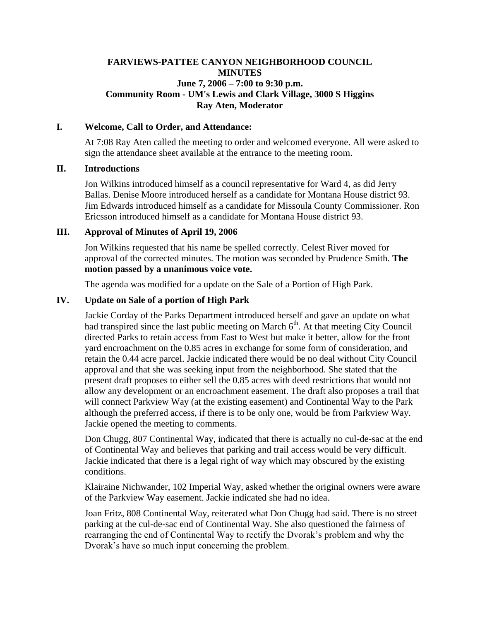## **FARVIEWS-PATTEE CANYON NEIGHBORHOOD COUNCIL MINUTES June 7, 2006 – 7:00 to 9:30 p.m. Community Room - UM's Lewis and Clark Village, 3000 S Higgins Ray Aten, Moderator**

#### **I. Welcome, Call to Order, and Attendance:**

At 7:08 Ray Aten called the meeting to order and welcomed everyone. All were asked to sign the attendance sheet available at the entrance to the meeting room.

#### **II. Introductions**

Jon Wilkins introduced himself as a council representative for Ward 4, as did Jerry Ballas. Denise Moore introduced herself as a candidate for Montana House district 93. Jim Edwards introduced himself as a candidate for Missoula County Commissioner. Ron Ericsson introduced himself as a candidate for Montana House district 93.

### **III. Approval of Minutes of April 19, 2006**

Jon Wilkins requested that his name be spelled correctly. Celest River moved for approval of the corrected minutes. The motion was seconded by Prudence Smith. **The motion passed by a unanimous voice vote.**

The agenda was modified for a update on the Sale of a Portion of High Park.

# **IV. Update on Sale of a portion of High Park**

Jackie Corday of the Parks Department introduced herself and gave an update on what had transpired since the last public meeting on March  $6<sup>th</sup>$ . At that meeting City Council directed Parks to retain access from East to West but make it better, allow for the front yard encroachment on the 0.85 acres in exchange for some form of consideration, and retain the 0.44 acre parcel. Jackie indicated there would be no deal without City Council approval and that she was seeking input from the neighborhood. She stated that the present draft proposes to either sell the 0.85 acres with deed restrictions that would not allow any development or an encroachment easement. The draft also proposes a trail that will connect Parkview Way (at the existing easement) and Continental Way to the Park although the preferred access, if there is to be only one, would be from Parkview Way. Jackie opened the meeting to comments.

Don Chugg, 807 Continental Way, indicated that there is actually no cul-de-sac at the end of Continental Way and believes that parking and trail access would be very difficult. Jackie indicated that there is a legal right of way which may obscured by the existing conditions.

Klairaine Nichwander, 102 Imperial Way, asked whether the original owners were aware of the Parkview Way easement. Jackie indicated she had no idea.

Joan Fritz, 808 Continental Way, reiterated what Don Chugg had said. There is no street parking at the cul-de-sac end of Continental Way. She also questioned the fairness of rearranging the end of Continental Way to rectify the Dvorak's problem and why the Dvorak's have so much input concerning the problem.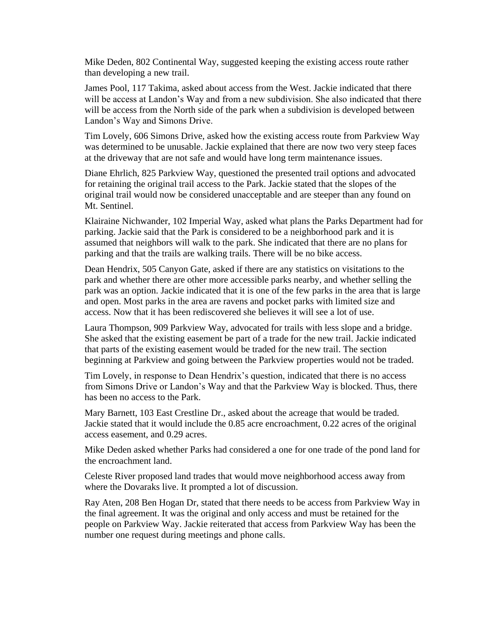Mike Deden, 802 Continental Way, suggested keeping the existing access route rather than developing a new trail.

James Pool, 117 Takima, asked about access from the West. Jackie indicated that there will be access at Landon's Way and from a new subdivision. She also indicated that there will be access from the North side of the park when a subdivision is developed between Landon's Way and Simons Drive.

Tim Lovely, 606 Simons Drive, asked how the existing access route from Parkview Way was determined to be unusable. Jackie explained that there are now two very steep faces at the driveway that are not safe and would have long term maintenance issues.

Diane Ehrlich, 825 Parkview Way, questioned the presented trail options and advocated for retaining the original trail access to the Park. Jackie stated that the slopes of the original trail would now be considered unacceptable and are steeper than any found on Mt. Sentinel.

Klairaine Nichwander, 102 Imperial Way, asked what plans the Parks Department had for parking. Jackie said that the Park is considered to be a neighborhood park and it is assumed that neighbors will walk to the park. She indicated that there are no plans for parking and that the trails are walking trails. There will be no bike access.

Dean Hendrix, 505 Canyon Gate, asked if there are any statistics on visitations to the park and whether there are other more accessible parks nearby, and whether selling the park was an option. Jackie indicated that it is one of the few parks in the area that is large and open. Most parks in the area are ravens and pocket parks with limited size and access. Now that it has been rediscovered she believes it will see a lot of use.

Laura Thompson, 909 Parkview Way, advocated for trails with less slope and a bridge. She asked that the existing easement be part of a trade for the new trail. Jackie indicated that parts of the existing easement would be traded for the new trail. The section beginning at Parkview and going between the Parkview properties would not be traded.

Tim Lovely, in response to Dean Hendrix's question, indicated that there is no access from Simons Drive or Landon's Way and that the Parkview Way is blocked. Thus, there has been no access to the Park.

Mary Barnett, 103 East Crestline Dr., asked about the acreage that would be traded. Jackie stated that it would include the 0.85 acre encroachment, 0.22 acres of the original access easement, and 0.29 acres.

Mike Deden asked whether Parks had considered a one for one trade of the pond land for the encroachment land.

Celeste River proposed land trades that would move neighborhood access away from where the Dovaraks live. It prompted a lot of discussion.

Ray Aten, 208 Ben Hogan Dr, stated that there needs to be access from Parkview Way in the final agreement. It was the original and only access and must be retained for the people on Parkview Way. Jackie reiterated that access from Parkview Way has been the number one request during meetings and phone calls.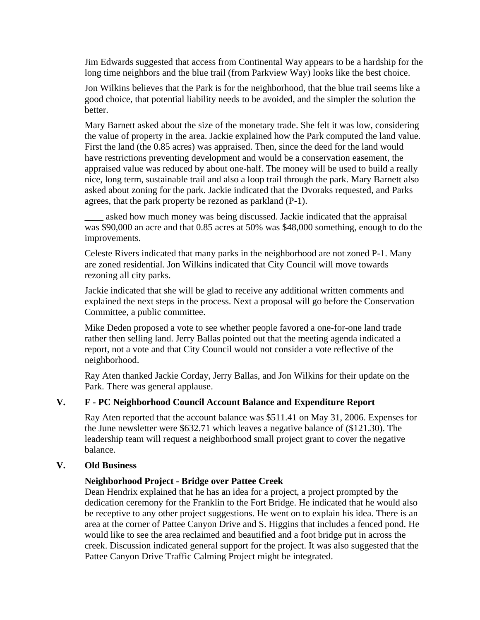Jim Edwards suggested that access from Continental Way appears to be a hardship for the long time neighbors and the blue trail (from Parkview Way) looks like the best choice.

Jon Wilkins believes that the Park is for the neighborhood, that the blue trail seems like a good choice, that potential liability needs to be avoided, and the simpler the solution the better.

Mary Barnett asked about the size of the monetary trade. She felt it was low, considering the value of property in the area. Jackie explained how the Park computed the land value. First the land (the 0.85 acres) was appraised. Then, since the deed for the land would have restrictions preventing development and would be a conservation easement, the appraised value was reduced by about one-half. The money will be used to build a really nice, long term, sustainable trail and also a loop trail through the park. Mary Barnett also asked about zoning for the park. Jackie indicated that the Dvoraks requested, and Parks agrees, that the park property be rezoned as parkland (P-1).

asked how much money was being discussed. Jackie indicated that the appraisal was \$90,000 an acre and that 0.85 acres at 50% was \$48,000 something, enough to do the improvements.

Celeste Rivers indicated that many parks in the neighborhood are not zoned P-1. Many are zoned residential. Jon Wilkins indicated that City Council will move towards rezoning all city parks.

Jackie indicated that she will be glad to receive any additional written comments and explained the next steps in the process. Next a proposal will go before the Conservation Committee, a public committee.

Mike Deden proposed a vote to see whether people favored a one-for-one land trade rather then selling land. Jerry Ballas pointed out that the meeting agenda indicated a report, not a vote and that City Council would not consider a vote reflective of the neighborhood.

Ray Aten thanked Jackie Corday, Jerry Ballas, and Jon Wilkins for their update on the Park. There was general applause.

# **V. F - PC Neighborhood Council Account Balance and Expenditure Report**

Ray Aten reported that the account balance was \$511.41 on May 31, 2006. Expenses for the June newsletter were \$632.71 which leaves a negative balance of (\$121.30). The leadership team will request a neighborhood small project grant to cover the negative balance.

#### **V. Old Business**

# **Neighborhood Project - Bridge over Pattee Creek**

Dean Hendrix explained that he has an idea for a project, a project prompted by the dedication ceremony for the Franklin to the Fort Bridge. He indicated that he would also be receptive to any other project suggestions. He went on to explain his idea. There is an area at the corner of Pattee Canyon Drive and S. Higgins that includes a fenced pond. He would like to see the area reclaimed and beautified and a foot bridge put in across the creek. Discussion indicated general support for the project. It was also suggested that the Pattee Canyon Drive Traffic Calming Project might be integrated.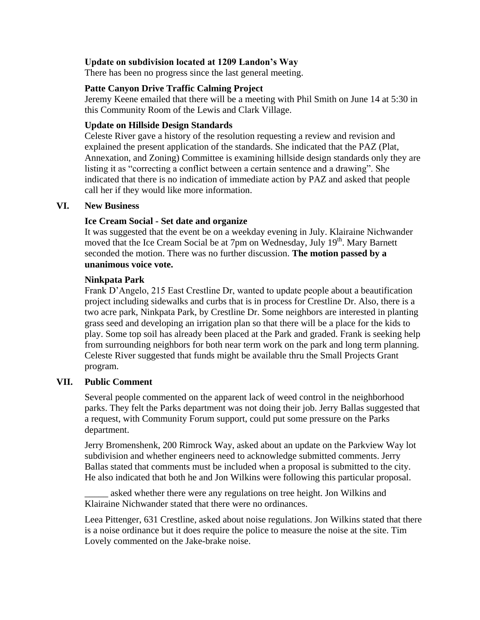### **Update on subdivision located at 1209 Landon's Way**

There has been no progress since the last general meeting.

#### **Patte Canyon Drive Traffic Calming Project**

Jeremy Keene emailed that there will be a meeting with Phil Smith on June 14 at 5:30 in this Community Room of the Lewis and Clark Village.

### **Update on Hillside Design Standards**

Celeste River gave a history of the resolution requesting a review and revision and explained the present application of the standards. She indicated that the PAZ (Plat, Annexation, and Zoning) Committee is examining hillside design standards only they are listing it as "correcting a conflict between a certain sentence and a drawing". She indicated that there is no indication of immediate action by PAZ and asked that people call her if they would like more information.

#### **VI. New Business**

#### **Ice Cream Social - Set date and organize**

It was suggested that the event be on a weekday evening in July. Klairaine Nichwander moved that the Ice Cream Social be at 7pm on Wednesday, July 19<sup>th</sup>. Mary Barnett seconded the motion. There was no further discussion. **The motion passed by a unanimous voice vote.**

#### **Ninkpata Park**

Frank D'Angelo, 215 East Crestline Dr, wanted to update people about a beautification project including sidewalks and curbs that is in process for Crestline Dr. Also, there is a two acre park, Ninkpata Park, by Crestline Dr. Some neighbors are interested in planting grass seed and developing an irrigation plan so that there will be a place for the kids to play. Some top soil has already been placed at the Park and graded. Frank is seeking help from surrounding neighbors for both near term work on the park and long term planning. Celeste River suggested that funds might be available thru the Small Projects Grant program.

#### **VII. Public Comment**

Several people commented on the apparent lack of weed control in the neighborhood parks. They felt the Parks department was not doing their job. Jerry Ballas suggested that a request, with Community Forum support, could put some pressure on the Parks department.

Jerry Bromenshenk, 200 Rimrock Way, asked about an update on the Parkview Way lot subdivision and whether engineers need to acknowledge submitted comments. Jerry Ballas stated that comments must be included when a proposal is submitted to the city. He also indicated that both he and Jon Wilkins were following this particular proposal.

asked whether there were any regulations on tree height. Jon Wilkins and Klairaine Nichwander stated that there were no ordinances.

Leea Pittenger, 631 Crestline, asked about noise regulations. Jon Wilkins stated that there is a noise ordinance but it does require the police to measure the noise at the site. Tim Lovely commented on the Jake-brake noise.